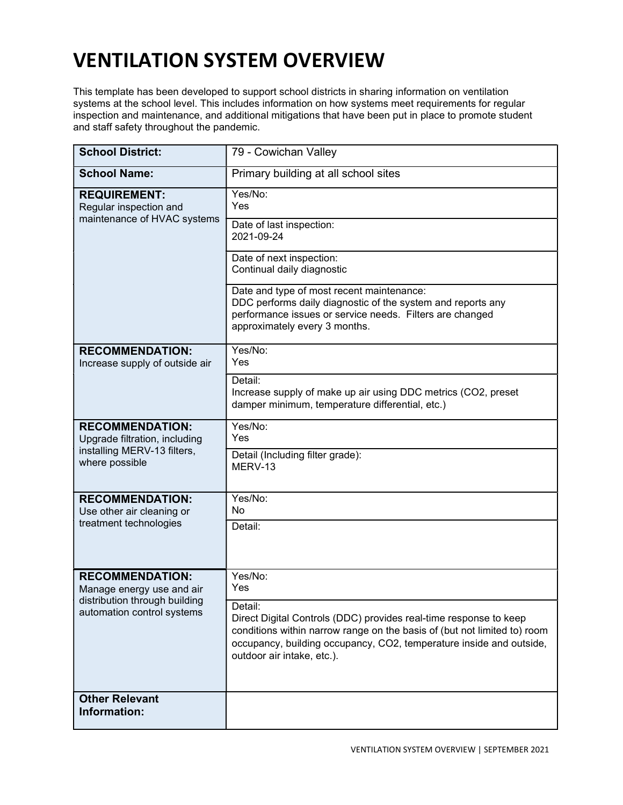## VENTILATION SYSTEM OVERVIEW

This template has been developed to support school districts in sharing information on ventilation systems at the school level. This includes information on how systems meet requirements for regular inspection and maintenance, and additional mitigations that have been put in place to promote student and staff safety throughout the pandemic.

| <b>School District:</b>                                                                                            | 79 - Cowichan Valley                                                                                                                                                                                                                                          |
|--------------------------------------------------------------------------------------------------------------------|---------------------------------------------------------------------------------------------------------------------------------------------------------------------------------------------------------------------------------------------------------------|
| <b>School Name:</b>                                                                                                | Primary building at all school sites                                                                                                                                                                                                                          |
| <b>REQUIREMENT:</b><br>Regular inspection and<br>maintenance of HVAC systems                                       | Yes/No:<br>Yes                                                                                                                                                                                                                                                |
|                                                                                                                    | Date of last inspection:<br>2021-09-24                                                                                                                                                                                                                        |
|                                                                                                                    | Date of next inspection:<br>Continual daily diagnostic                                                                                                                                                                                                        |
|                                                                                                                    | Date and type of most recent maintenance:<br>DDC performs daily diagnostic of the system and reports any<br>performance issues or service needs. Filters are changed<br>approximately every 3 months.                                                         |
| <b>RECOMMENDATION:</b><br>Increase supply of outside air                                                           | Yes/No:<br>Yes                                                                                                                                                                                                                                                |
|                                                                                                                    | Detail:<br>Increase supply of make up air using DDC metrics (CO2, preset<br>damper minimum, temperature differential, etc.)                                                                                                                                   |
| <b>RECOMMENDATION:</b><br>Upgrade filtration, including<br>installing MERV-13 filters,<br>where possible           | Yes/No:<br>Yes                                                                                                                                                                                                                                                |
|                                                                                                                    | Detail (Including filter grade):<br>MERV-13                                                                                                                                                                                                                   |
| <b>RECOMMENDATION:</b><br>Use other air cleaning or<br>treatment technologies                                      | Yes/No:<br>No                                                                                                                                                                                                                                                 |
|                                                                                                                    | Detail:                                                                                                                                                                                                                                                       |
| <b>RECOMMENDATION:</b><br>Manage energy use and air<br>distribution through building<br>automation control systems | Yes/No:<br>Yes                                                                                                                                                                                                                                                |
|                                                                                                                    | Detail:<br>Direct Digital Controls (DDC) provides real-time response to keep<br>conditions within narrow range on the basis of (but not limited to) room<br>occupancy, building occupancy, CO2, temperature inside and outside,<br>outdoor air intake, etc.). |
| <b>Other Relevant</b><br>Information:                                                                              |                                                                                                                                                                                                                                                               |